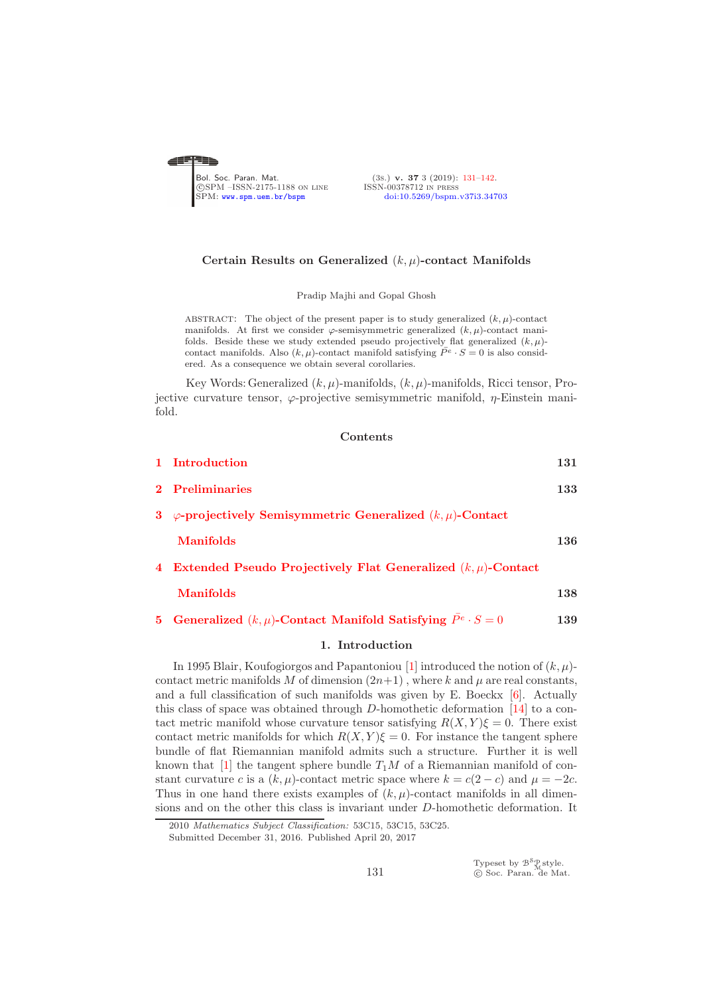<span id="page-0-0"></span>

(3s.) v. 37 3 (2019): [131](#page-0-0)-142.<br>ISSN-00378712 IN PRESS [doi:10.5269/bspm.v37i3.34703](http://dx.doi.org/10.5269/bspm.v37i3.34703)

#### Certain Results on Generalized  $(k, \mu)$ -contact Manifolds

Pradip Majhi and Gopal Ghosh

ABSTRACT: The object of the present paper is to study generalized  $(k, \mu)$ -contact manifolds. At first we consider  $\varphi$ -semisymmetric generalized  $(k, \mu)$ -contact manifolds. Beside these we study extended pseudo projectively flat generalized  $(k, \mu)$ contact manifolds. Also  $(k, \mu)$ -contact manifold satisfying  $\overline{P}^e \cdot S = 0$  is also considered. As a consequence we obtain several corollaries.

Key Words: Generalized  $(k, \mu)$ -manifolds,  $(k, \mu)$ -manifolds, Ricci tensor, Projective curvature tensor,  $\varphi$ -projective semisymmetric manifold,  $\eta$ -Einstein manifold.

#### **Contents**

| 1 Introduction                                                                       | 131 |
|--------------------------------------------------------------------------------------|-----|
| 2 Preliminaries                                                                      | 133 |
| 3 $\varphi$ -projectively Semisymmetric Generalized $(k,\mu)$ -Contact               |     |
| <b>Manifolds</b>                                                                     | 136 |
| 4 Extended Pseudo Projectively Flat Generalized $(k, \mu)$ -Contact                  |     |
| <b>Manifolds</b>                                                                     | 138 |
| <b>5</b> Generalized $(k, \mu)$ -Contact Manifold Satisfying $\bar{P}^e \cdot S = 0$ | 139 |

# 1. Introduction

<span id="page-0-1"></span>In 1995 Blair, Koufogiorgos and Papantoniou [\[1\]](#page-10-1) introduced the notion of  $(k, \mu)$ contact metric manifolds M of dimension  $(2n+1)$ , where k and u are real constants, and a full classification of such manifolds was given by E. Boeckx [\[6\]](#page-10-2). Actually this class of space was obtained through D-homothetic deformation [\[14\]](#page-10-3) to a contact metric manifold whose curvature tensor satisfying  $R(X, Y)\xi = 0$ . There exist contact metric manifolds for which  $R(X, Y)\xi = 0$ . For instance the tangent sphere bundle of flat Riemannian manifold admits such a structure. Further it is well known that [\[1\]](#page-10-1) the tangent sphere bundle  $T_1M$  of a Riemannian manifold of constant curvature c is a  $(k, \mu)$ -contact metric space where  $k = c(2 - c)$  and  $\mu = -2c$ . Thus in one hand there exists examples of  $(k, \mu)$ -contact manifolds in all dimensions and on the other this class is invariant under D-homothetic deformation. It

Typeset by  $\mathcal{B}^{\mathcal{S}}_{\mathcal{M}}$ style.<br>© Soc. Paran. de Mat.

<sup>2010</sup> *Mathematics Subject Classification:* 53C15, 53C15, 53C25.

Submitted December 31, 2016. Published April 20, 2017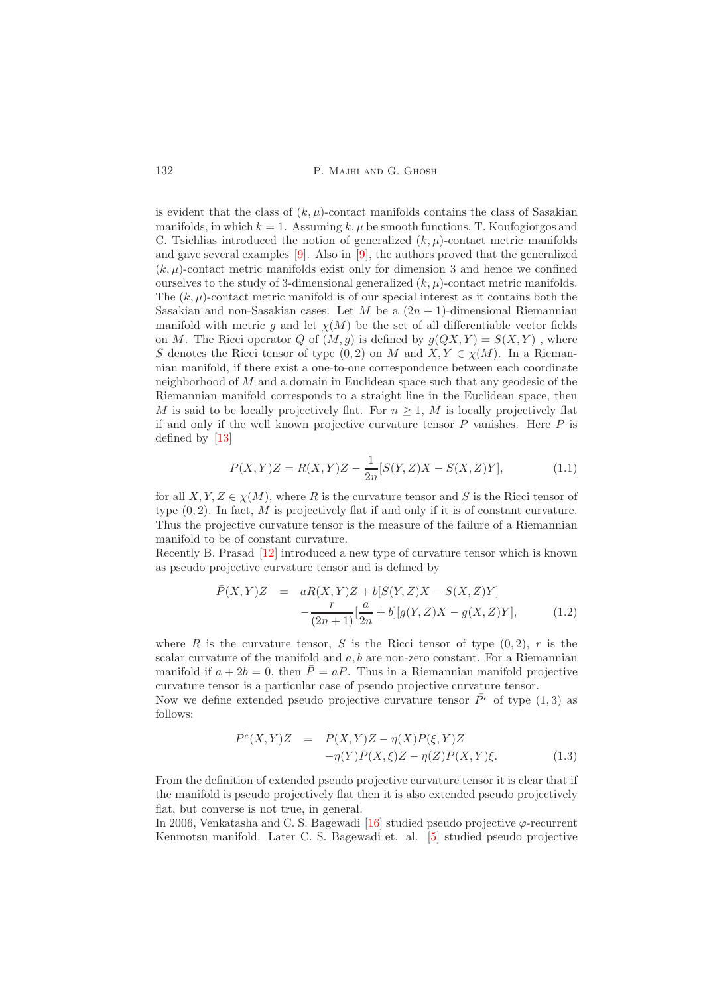is evident that the class of  $(k, \mu)$ -contact manifolds contains the class of Sasakian manifolds, in which  $k = 1$ . Assuming k,  $\mu$  be smooth functions, T. Koufogiorgos and C. Tsichlias introduced the notion of generalized  $(k, \mu)$ -contact metric manifolds and gave several examples [\[9\]](#page-10-4). Also in [\[9\]](#page-10-4), the authors proved that the generalized  $(k, \mu)$ -contact metric manifolds exist only for dimension 3 and hence we confined ourselves to the study of 3-dimensional generalized  $(k, \mu)$ -contact metric manifolds. The  $(k, \mu)$ -contact metric manifold is of our special interest as it contains both the Sasakian and non-Sasakian cases. Let M be a  $(2n + 1)$ -dimensional Riemannian manifold with metric g and let  $\chi(M)$  be the set of all differentiable vector fields on M. The Ricci operator Q of  $(M, g)$  is defined by  $g(QX, Y) = S(X, Y)$ , where S denotes the Ricci tensor of type  $(0, 2)$  on M and  $X, Y \in \chi(M)$ . In a Riemannian manifold, if there exist a one-to-one correspondence between each coordinate neighborhood of M and a domain in Euclidean space such that any geodesic of the Riemannian manifold corresponds to a straight line in the Euclidean space, then M is said to be locally projectively flat. For  $n \geq 1$ , M is locally projectively flat if and only if the well known projective curvature tensor  $P$  vanishes. Here  $P$  is defined by [\[13\]](#page-10-5)

<span id="page-1-0"></span>
$$
P(X,Y)Z = R(X,Y)Z - \frac{1}{2n}[S(Y,Z)X - S(X,Z)Y],
$$
\n(1.1)

for all  $X, Y, Z \in \chi(M)$ , where R is the curvature tensor and S is the Ricci tensor of type  $(0, 2)$ . In fact, M is projectively flat if and only if it is of constant curvature. Thus the projective curvature tensor is the measure of the failure of a Riemannian manifold to be of constant curvature.

Recently B. Prasad [\[12\]](#page-10-6) introduced a new type of curvature tensor which is known as pseudo projective curvature tensor and is defined by

<span id="page-1-1"></span>
$$
\bar{P}(X,Y)Z = aR(X,Y)Z + b[S(Y,Z)X - S(X,Z)Y] - \frac{r}{(2n+1)}[\frac{a}{2n} + b][g(Y,Z)X - g(X,Z)Y],
$$
\n(1.2)

where R is the curvature tensor, S is the Ricci tensor of type  $(0, 2)$ , r is the scalar curvature of the manifold and  $a, b$  are non-zero constant. For a Riemannian manifold if  $a + 2b = 0$ , then  $\overline{P} = aP$ . Thus in a Riemannian manifold projective curvature tensor is a particular case of pseudo projective curvature tensor. Now we define extended pseudo projective curvature tensor  $\bar{P}^e$  of type (1,3) as

follows:

<span id="page-1-2"></span>
$$
\begin{aligned}\n\bar{P}^e(X,Y)Z &= \bar{P}(X,Y)Z - \eta(X)\bar{P}(\xi,Y)Z \\
&\quad -\eta(Y)\bar{P}(X,\xi)Z - \eta(Z)\bar{P}(X,Y)\xi.\n\end{aligned} \tag{1.3}
$$

From the definition of extended pseudo projective curvature tensor it is clear that if the manifold is pseudo projectively flat then it is also extended pseudo projectively flat, but converse is not true, in general.

In 2006, Venkatasha and C. S. Bagewadi  $[16]$  studied pseudo projective  $\varphi$ -recurrent Kenmotsu manifold. Later C. S. Bagewadi et. al. [\[5\]](#page-10-8) studied pseudo projective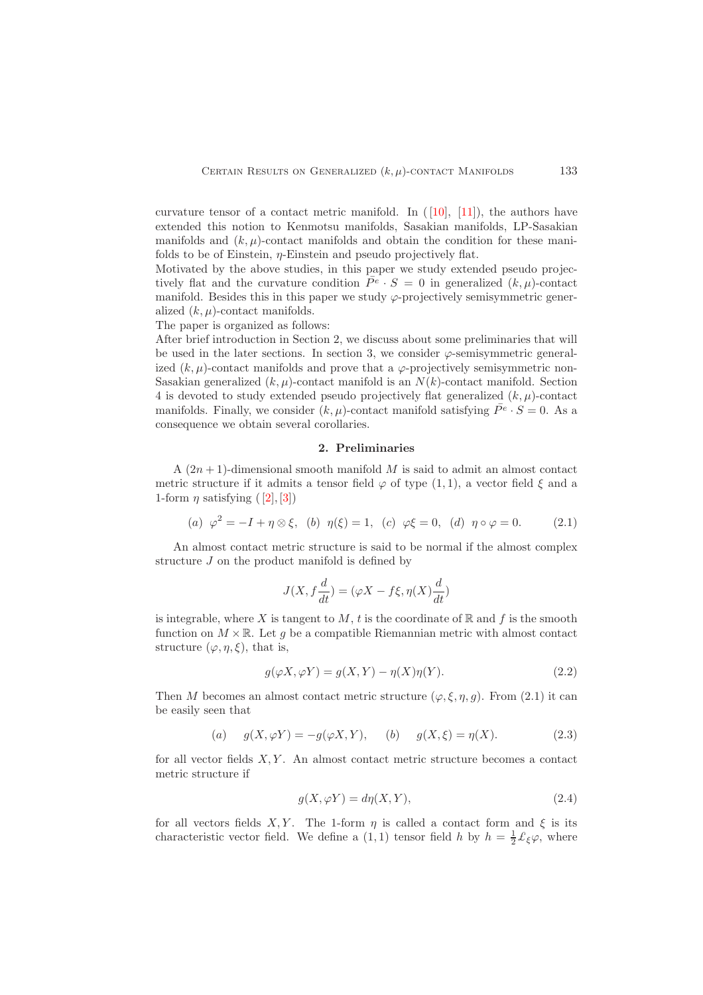curvature tensor of a contact metric manifold. In  $([10], [11])$  $([10], [11])$  $([10], [11])$ , the authors have extended this notion to Kenmotsu manifolds, Sasakian manifolds, LP-Sasakian manifolds and  $(k, \mu)$ -contact manifolds and obtain the condition for these manifolds to be of Einstein,  $\eta$ -Einstein and pseudo projectively flat.

Motivated by the above studies, in this paper we study extended pseudo projectively flat and the curvature condition  $\bar{P}^e \cdot S = 0$  in generalized  $(k, \mu)$ -contact manifold. Besides this in this paper we study  $\varphi$ -projectively semisymmetric generalized  $(k, \mu)$ -contact manifolds.

The paper is organized as follows:

After brief introduction in Section 2, we discuss about some preliminaries that will be used in the later sections. In section 3, we consider  $\varphi$ -semisymmetric generalized  $(k, \mu)$ -contact manifolds and prove that a  $\varphi$ -projectively semisymmetric non-Sasakian generalized  $(k, \mu)$ -contact manifold is an  $N(k)$ -contact manifold. Section 4 is devoted to study extended pseudo projectively flat generalized  $(k, \mu)$ -contact manifolds. Finally, we consider  $(k, \mu)$ -contact manifold satisfying  $\bar{P}^e \cdot S = 0$ . As a consequence we obtain several corollaries.

#### 2. Preliminaries

<span id="page-2-0"></span>A  $(2n+1)$ -dimensional smooth manifold M is said to admit an almost contact metric structure if it admits a tensor field  $\varphi$  of type (1, 1), a vector field  $\xi$  and a 1-form  $\eta$  satisfying  $([2], [3])$  $([2], [3])$  $([2], [3])$ 

<span id="page-2-1"></span>(a) 
$$
\varphi^2 = -I + \eta \otimes \xi
$$
, (b)  $\eta(\xi) = 1$ , (c)  $\varphi \xi = 0$ , (d)  $\eta \circ \varphi = 0$ . (2.1)

An almost contact metric structure is said to be normal if the almost complex structure J on the product manifold is defined by

$$
J(X, f\frac{d}{dt}) = (\varphi X - f\xi, \eta(X)\frac{d}{dt})
$$

is integrable, where X is tangent to M, t is the coordinate of  $\mathbb R$  and f is the smooth function on  $M \times \mathbb{R}$ . Let g be a compatible Riemannian metric with almost contact structure  $(\varphi, \eta, \xi)$ , that is,

<span id="page-2-2"></span>
$$
g(\varphi X, \varphi Y) = g(X, Y) - \eta(X)\eta(Y). \tag{2.2}
$$

Then M becomes an almost contact metric structure  $(\varphi, \xi, \eta, g)$ . From (2.1) it can be easily seen that

<span id="page-2-3"></span>(a) 
$$
g(X, \varphi Y) = -g(\varphi X, Y),
$$
 (b)  $g(X, \xi) = \eta(X).$  (2.3)

for all vector fields  $X, Y$ . An almost contact metric structure becomes a contact metric structure if

$$
g(X, \varphi Y) = d\eta(X, Y),\tag{2.4}
$$

for all vectors fields X, Y. The 1-form  $\eta$  is called a contact form and  $\xi$  is its characteristic vector field. We define a (1, 1) tensor field h by  $h = \frac{1}{2} \mathcal{L}_{\xi} \varphi$ , where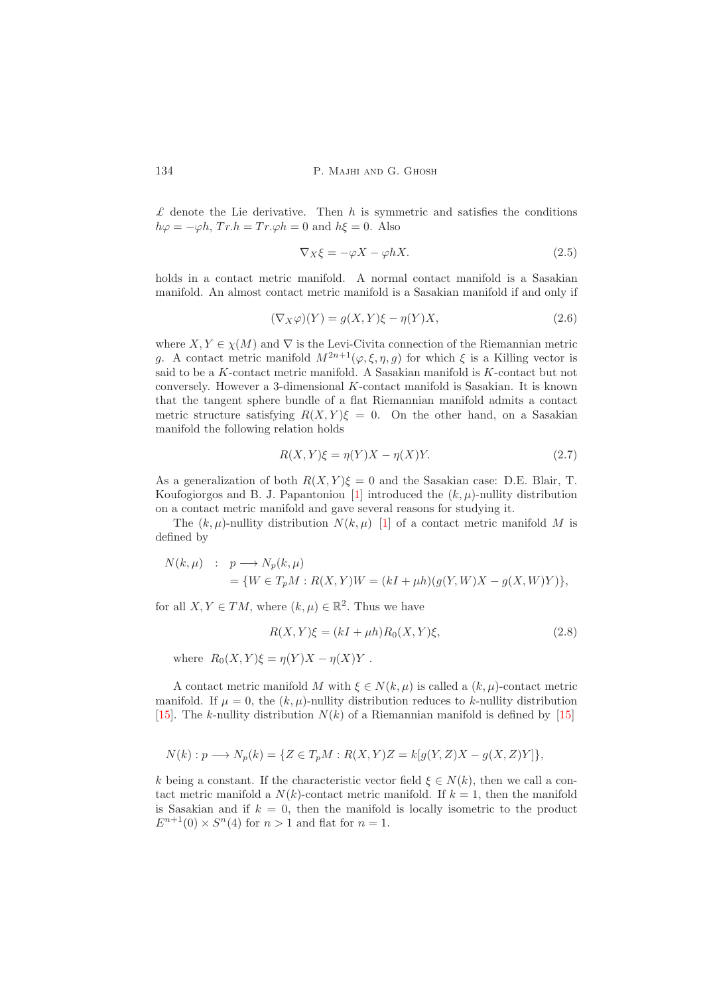$\mathcal L$  denote the Lie derivative. Then  $h$  is symmetric and satisfies the conditions  $h\varphi = -\varphi h$ ,  $Tr.h = Tr.\varphi h = 0$  and  $h\xi = 0$ . Also

$$
\nabla_X \xi = -\varphi X - \varphi hX. \tag{2.5}
$$

holds in a contact metric manifold. A normal contact manifold is a Sasakian manifold. An almost contact metric manifold is a Sasakian manifold if and only if

$$
(\nabla_X \varphi)(Y) = g(X, Y)\xi - \eta(Y)X,\tag{2.6}
$$

where  $X, Y \in \chi(M)$  and  $\nabla$  is the Levi-Civita connection of the Riemannian metric g. A contact metric manifold  $M^{2n+1}(\varphi,\xi,\eta,g)$  for which  $\xi$  is a Killing vector is said to be a K-contact metric manifold. A Sasakian manifold is K-contact but not conversely. However a 3-dimensional K-contact manifold is Sasakian. It is known that the tangent sphere bundle of a flat Riemannian manifold admits a contact metric structure satisfying  $R(X, Y)\xi = 0$ . On the other hand, on a Sasakian manifold the following relation holds

$$
R(X,Y)\xi = \eta(Y)X - \eta(X)Y.
$$
\n(2.7)

As a generalization of both  $R(X, Y)\xi = 0$  and the Sasakian case: D.E. Blair, T. Koufogiorgos and B. J. Papantoniou [\[1\]](#page-10-1) introduced the  $(k, \mu)$ -nullity distribution on a contact metric manifold and gave several reasons for studying it.

The  $(k, \mu)$ -nullity distribution  $N(k, \mu)$  [\[1\]](#page-10-1) of a contact metric manifold M is defined by

$$
N(k,\mu) : p \longrightarrow N_p(k,\mu)
$$
  
= { $W \in T_pM : R(X,Y)W = (kI + \mu h)(g(Y,W)X - g(X,W)Y)$ },

for all  $X, Y \in TM$ , where  $(k, \mu) \in \mathbb{R}^2$ . Thus we have

<span id="page-3-0"></span>
$$
R(X,Y)\xi = (kI + \mu h)R_0(X,Y)\xi,
$$
\n
$$
(2.8)
$$

where  $R_0(X, Y)\xi = \eta(Y)X - \eta(X)Y$ .

A contact metric manifold M with  $\xi \in N(k,\mu)$  is called a  $(k,\mu)$ -contact metric manifold. If  $\mu = 0$ , the  $(k, \mu)$ -nullity distribution reduces to k-nullity distribution [\[15\]](#page-10-13). The k-nullity distribution  $N(k)$  of a Riemannian manifold is defined by [\[15\]](#page-10-13)

$$
N(k): p \longrightarrow N_p(k) = \{ Z \in T_pM : R(X,Y)Z = k[g(Y,Z)X - g(X,Z)Y] \},
$$

k being a constant. If the characteristic vector field  $\xi \in N(k)$ , then we call a contact metric manifold a  $N(k)$ -contact metric manifold. If  $k = 1$ , then the manifold is Sasakian and if  $k = 0$ , then the manifold is locally isometric to the product  $E^{n+1}(0) \times S^n(4)$  for  $n > 1$  and flat for  $n = 1$ .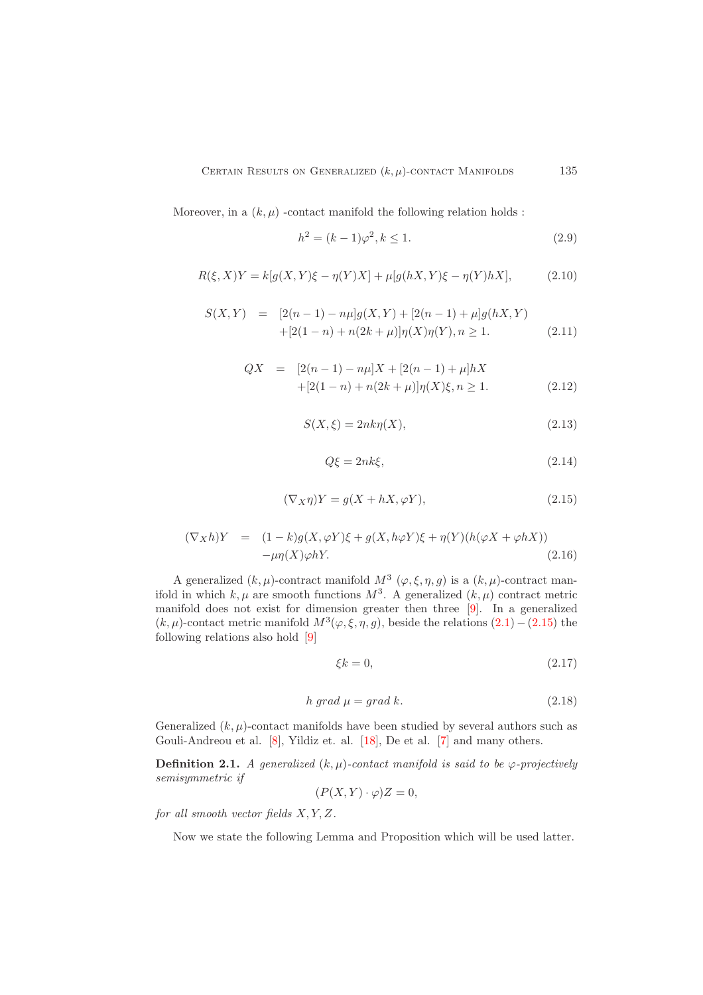Moreover, in a  $(k, \mu)$  -contact manifold the following relation holds :

<span id="page-4-2"></span>
$$
h^2 = (k-1)\varphi^2, k \le 1.
$$
\n(2.9)

$$
R(\xi, X)Y = k[g(X, Y)\xi - \eta(Y)X] + \mu[g(hX, Y)\xi - \eta(Y)hX],
$$
\n(2.10)

<span id="page-4-1"></span>
$$
S(X,Y) = [2(n-1) - n\mu]g(X,Y) + [2(n-1) + \mu]g(hX,Y) + [2(1-n) + n(2k+\mu)]\eta(X)\eta(Y), n \ge 1.
$$
 (2.11)

<span id="page-4-3"></span>
$$
QX = [2(n-1) - n\mu]X + [2(n-1) + \mu]hX
$$
  
+[2(1-n) + n(2k+\mu)]\eta(X)\xi, n \ge 1. (2.12)

$$
S(X,\xi) = 2nk\eta(X),\tag{2.13}
$$

$$
Q\xi = 2nk\xi,\tag{2.14}
$$

<span id="page-4-0"></span>
$$
(\nabla_X \eta)Y = g(X + hX, \varphi Y), \tag{2.15}
$$

$$
(\nabla_X h)Y = (1 - k)g(X, \varphi Y)\xi + g(X, h\varphi Y)\xi + \eta(Y)(h(\varphi X + \varphi hX))
$$
  
-
$$
\mu\eta(X)\varphi hY.
$$
 (2.16)

A generalized  $(k, \mu)$ -contract manifold  $M^3$   $(\varphi, \xi, \eta, g)$  is a  $(k, \mu)$ -contract manifold in which  $k, \mu$  are smooth functions  $M^3$ . A generalized  $(k, \mu)$  contract metric manifold does not exist for dimension greater then three [\[9\]](#page-10-4). In a generalized  $(k, \mu)$ -contact metric manifold  $M^3(\varphi, \xi, \eta, g)$ , beside the relations  $(2.1) - (2.15)$  $(2.1) - (2.15)$  the following relations also hold [\[9\]](#page-10-4)

$$
\xi k = 0,\tag{2.17}
$$

$$
h\,\operatorname{grad}\,\mu = \operatorname{grad}\,k.\tag{2.18}
$$

Generalized  $(k, \mu)$ -contact manifolds have been studied by several authors such as Gouli-Andreou et al. [\[8\]](#page-10-14), Yildiz et. al. [\[18\]](#page-10-15), De et al. [\[7\]](#page-10-16) and many others.

**Definition 2.1.** *A generalized*  $(k, \mu)$ -contact manifold is said to be  $\varphi$ -projectively *semisymmetric if*

$$
(P(X,Y)\cdot\varphi)Z=0,
$$

*for all smooth vector fields* X, Y, Z*.*

Now we state the following Lemma and Proposition which will be used latter.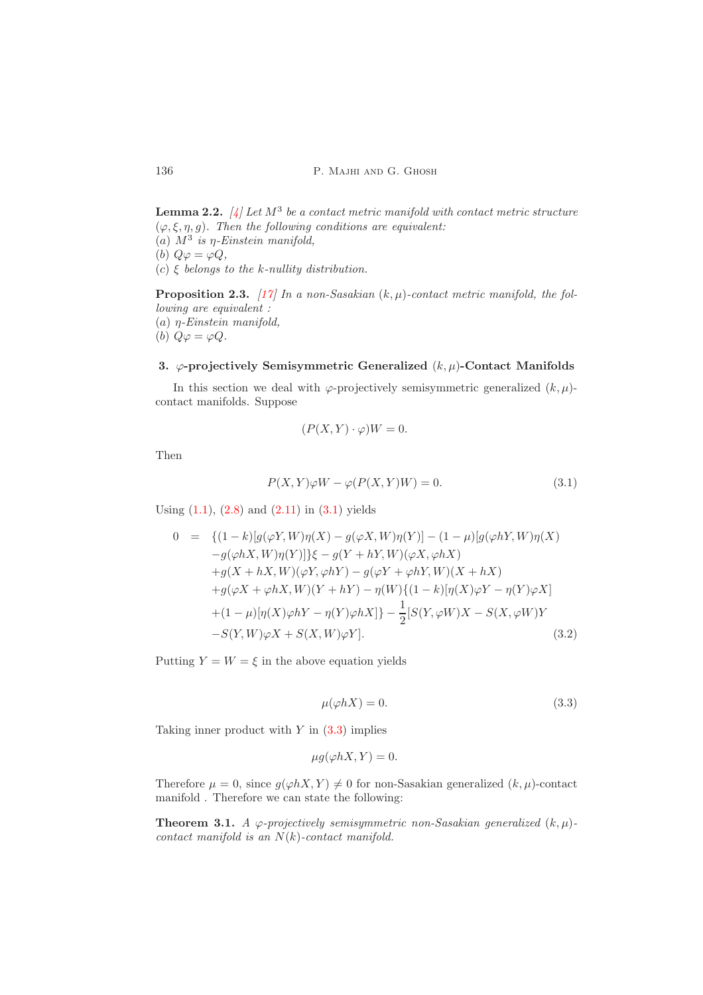Lemma 2.2. *[\[4\]](#page-10-17) Let* M<sup>3</sup> *be a contact metric manifold with contact metric structure*  $(\varphi, \xi, \eta, g)$ *. Then the following conditions are equivalent:* (a)  $M^3$  is  $\eta$ -Einstein manifold, (b)  $Q\varphi = \varphi Q$ , (c) ξ *belongs to the* k*-nullity distribution.*

Proposition 2.3. [\[17\]](#page-10-18) In a non-Sasakian  $(k, \mu)$ -contact metric manifold, the fol*lowing are equivalent :* (a) η*-Einstein manifold,* (b)  $Q\varphi = \varphi Q$ .

# <span id="page-5-0"></span>3.  $\varphi$ -projectively Semisymmetric Generalized  $(k, \mu)$ -Contact Manifolds

In this section we deal with  $\varphi$ -projectively semisymmetric generalized  $(k, \mu)$ contact manifolds. Suppose

$$
(P(X, Y) \cdot \varphi)W = 0.
$$

Then

<span id="page-5-1"></span>
$$
P(X,Y)\varphi W - \varphi(P(X,Y)W) = 0.
$$
\n(3.1)

Using  $(1.1)$ ,  $(2.8)$  $(2.8)$  and  $(2.11)$  $(2.11)$  in  $(3.1)$  yields

<span id="page-5-3"></span>
$$
0 = \{(1-k)[g(\varphi Y, W)\eta(X) - g(\varphi X, W)\eta(Y)] - (1-\mu)[g(\varphi hY, W)\eta(X) - g(\varphi hX, W)\eta(Y)]\}\xi - g(Y + hY, W)(\varphi X, \varphi hX) +g(X + hX, W)(\varphi Y, \varphi hY) - g(\varphi Y + \varphi hY, W)(X + hX) +g(\varphi X + \varphi hX, W)(Y + hY) - \eta(W)\{(1-k)[\eta(X)\varphi Y - \eta(Y)\varphi X] + (1-\mu)[\eta(X)\varphi hY - \eta(Y)\varphi hX]\} - \frac{1}{2}[S(Y, \varphi W)X - S(X, \varphi W)Y -S(Y, W)\varphi X + S(X, W)\varphi Y].
$$
\n(3.2)

Putting  $Y = W = \xi$  in the above equation yields

<span id="page-5-2"></span>
$$
\mu(\varphi hX) = 0.\tag{3.3}
$$

Taking inner product with  $Y$  in  $(3.3)$  $(3.3)$  implies

$$
\mu g(\varphi hX, Y) = 0.
$$

Therefore  $\mu = 0$ , since  $g(\varphi hX, Y) \neq 0$  for non-Sasakian generalized  $(k, \mu)$ -contact manifold . Therefore we can state the following:

**Theorem 3.1.** *A*  $\varphi$ -projectively semisymmetric non-Sasakian generalized  $(k, \mu)$ *contact manifold is an* N(k)*-contact manifold.*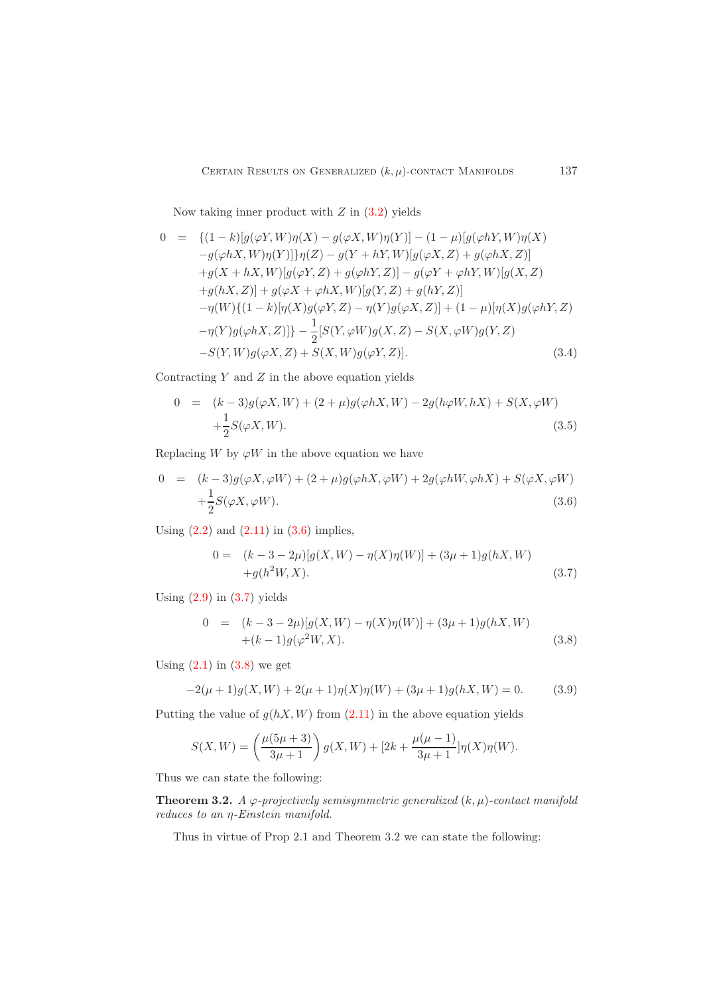Now taking inner product with  $Z$  in  $(3.2)$  yields

$$
0 = \{(1-k)[g(\varphi Y, W)\eta(X) - g(\varphi X, W)\eta(Y)] - (1-\mu)[g(\varphi hY, W)\eta(X) - g(\varphi hX, W)\eta(Y)]\eta(Z) - g(Y + hY, W)[g(\varphi X, Z) + g(\varphi hX, Z)]+g(X + hX, W)[g(\varphi Y, Z) + g(\varphi hY, Z)] - g(\varphi Y + \varphi hY, W)[g(X, Z) +g(hX, Z)] + g(\varphi X + \varphi hX, W)[g(Y, Z) + g(hY, Z)]- \eta(W)\{(1-k)[\eta(X)g(\varphi Y, Z) - \eta(Y)g(\varphi X, Z)] + (1-\mu)[\eta(X)g(\varphi hY, Z) - \eta(Y)g(\varphi hX, Z)]\} - \frac{1}{2}[S(Y, \varphi W)g(X, Z) - S(X, \varphi W)g(Y, Z) -S(Y, W)g(\varphi X, Z) + S(X, W)g(\varphi Y, Z)]. \tag{3.4}
$$

Contracting  $Y$  and  $Z$  in the above equation yields

$$
0 = (k-3)g(\varphi X, W) + (2+\mu)g(\varphi hX, W) - 2g(h\varphi W, hX) + S(X, \varphi W) + \frac{1}{2}S(\varphi X, W).
$$
 (3.5)

Replacing W by  $\varphi W$  in the above equation we have

<span id="page-6-0"></span>
$$
0 = (k-3)g(\varphi X, \varphi W) + (2+\mu)g(\varphi hX, \varphi W) + 2g(\varphi hW, \varphi hX) + S(\varphi X, \varphi W) + \frac{1}{2}S(\varphi X, \varphi W).
$$
\n(3.6)

Using  $(2.2)$  and  $(2.11)$  $(2.11)$  in  $(3.6)$  $(3.6)$  implies,

<span id="page-6-1"></span>
$$
0 = (k - 3 - 2\mu)[g(X, W) - \eta(X)\eta(W)] + (3\mu + 1)g(hX, W) + g(h2W, X).
$$
 (3.7)

Using  $(2.9)$  in  $(3.7)$  $(3.7)$  yields

<span id="page-6-2"></span>
$$
0 = (k-3-2\mu)[g(X,W) - \eta(X)\eta(W)] + (3\mu+1)g(hX,W) +(k-1)g(\varphi^2W,X).
$$
 (3.8)

Using  $(2.1)$  in  $(3.8)$  $(3.8)$  we get

$$
-2(\mu+1)g(X,W) + 2(\mu+1)\eta(X)\eta(W) + (3\mu+1)g(hX,W) = 0.
$$
 (3.9)

Putting the value of  $g(hX, W)$  from  $(2.11)$  $(2.11)$  in the above equation yields

$$
S(X,W) = \left(\frac{\mu(5\mu+3)}{3\mu+1}\right)g(X,W) + [2k + \frac{\mu(\mu-1)}{3\mu+1}]\eta(X)\eta(W).
$$

Thus we can state the following:

**Theorem 3.2.** *A*  $\varphi$ -projectively semisymmetric generalized  $(k, \mu)$ -contact manifold *reduces to an* η*-Einstein manifold.*

Thus in virtue of Prop 2.1 and Theorem 3.2 we can state the following: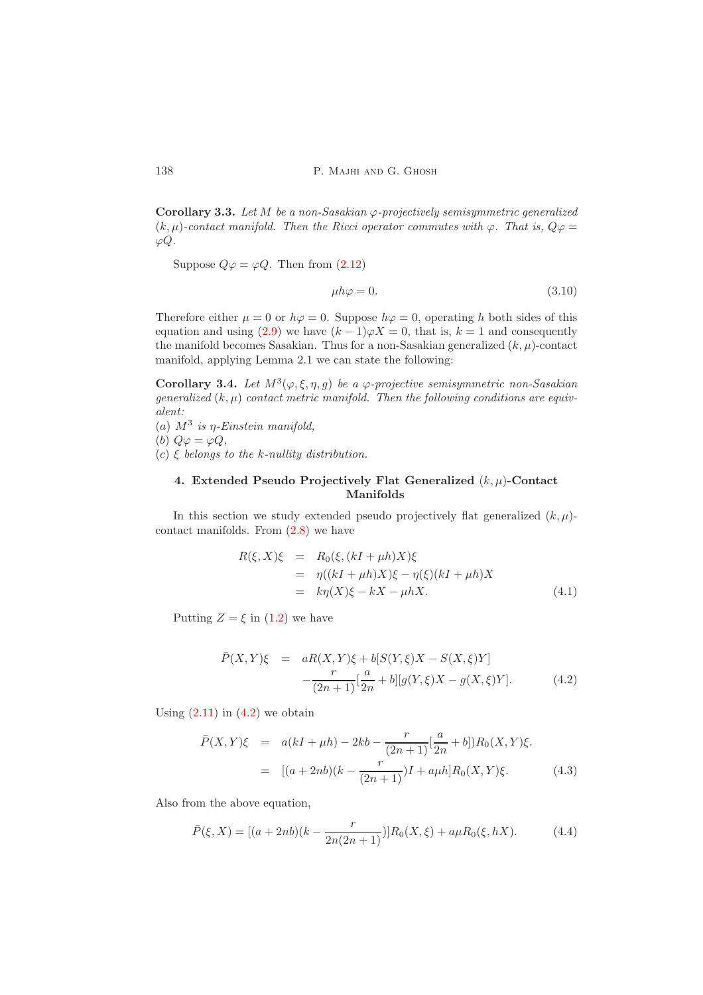Corollary 3.3. *Let* M *be a non-Sasakian* ϕ*-projectively semisymmetric generalized*  $(k, \mu)$ -contact manifold. Then the Ricci operator commutes with  $\varphi$ . That is,  $Q\varphi =$  $\varphi Q$ .

Suppose  $Q\varphi = \varphi Q$ . Then from (2.[12\)](#page-4-3)

$$
\mu h \varphi = 0. \tag{3.10}
$$

Therefore either  $\mu = 0$  or  $h\varphi = 0$ . Suppose  $h\varphi = 0$ , operating h both sides of this equation and using (2.[9\)](#page-4-2) we have  $(k-1)\varphi X = 0$ , that is,  $k = 1$  and consequently the manifold becomes Sasakian. Thus for a non-Sasakian generalized  $(k, \mu)$ -contact manifold, applying Lemma 2.1 we can state the following:

Corollary 3.4. Let  $M^3(\varphi,\xi,\eta,g)$  be a  $\varphi$ -projective semisymmetric non-Sasakian *generalized*  $(k, \mu)$  *contact metric manifold. Then the following conditions are equivalent:*

(a)  $M^3$  is  $\eta$ -Einstein manifold, (b)  $Q\varphi = \varphi Q$ ,

<span id="page-7-0"></span>(c) ξ *belongs to the* k*-nullity distribution.*

## 4. Extended Pseudo Projectively Flat Generalized  $(k, \mu)$ -Contact Manifolds

In this section we study extended pseudo projectively flat generalized  $(k, \mu)$ contact manifolds. From [\(2](#page-3-0).8) we have

$$
R(\xi, X)\xi = R_0(\xi, (kI + \mu h)X)\xi
$$
  
= 
$$
\eta((kI + \mu h)X)\xi - \eta(\xi)(kI + \mu h)X
$$
  
= 
$$
k\eta(X)\xi - kX - \mu hX.
$$
 (4.1)

Putting  $Z = \xi$  in [\(1.2\)](#page-1-1) we have

<span id="page-7-1"></span>
$$
\bar{P}(X,Y)\xi = aR(X,Y)\xi + b[S(Y,\xi)X - S(X,\xi)Y] \n- \frac{r}{(2n+1)}[\frac{a}{2n} + b][g(Y,\xi)X - g(X,\xi)Y].
$$
\n(4.2)

Using  $(2.11)$  $(2.11)$  in  $(4.2)$  $(4.2)$  we obtain

<span id="page-7-2"></span>
$$
\bar{P}(X,Y)\xi = a(kI + \mu h) - 2kb - \frac{r}{(2n+1)}[\frac{a}{2n} + b])R_0(X,Y)\xi.
$$
  
= 
$$
[(a + 2nb)(k - \frac{r}{(2n+1)})I + a\mu h]R_0(X,Y)\xi.
$$
 (4.3)

Also from the above equation,

$$
\bar{P}(\xi, X) = [(a + 2nb)(k - \frac{r}{2n(2n+1)})]R_0(X, \xi) + a\mu R_0(\xi, hX). \tag{4.4}
$$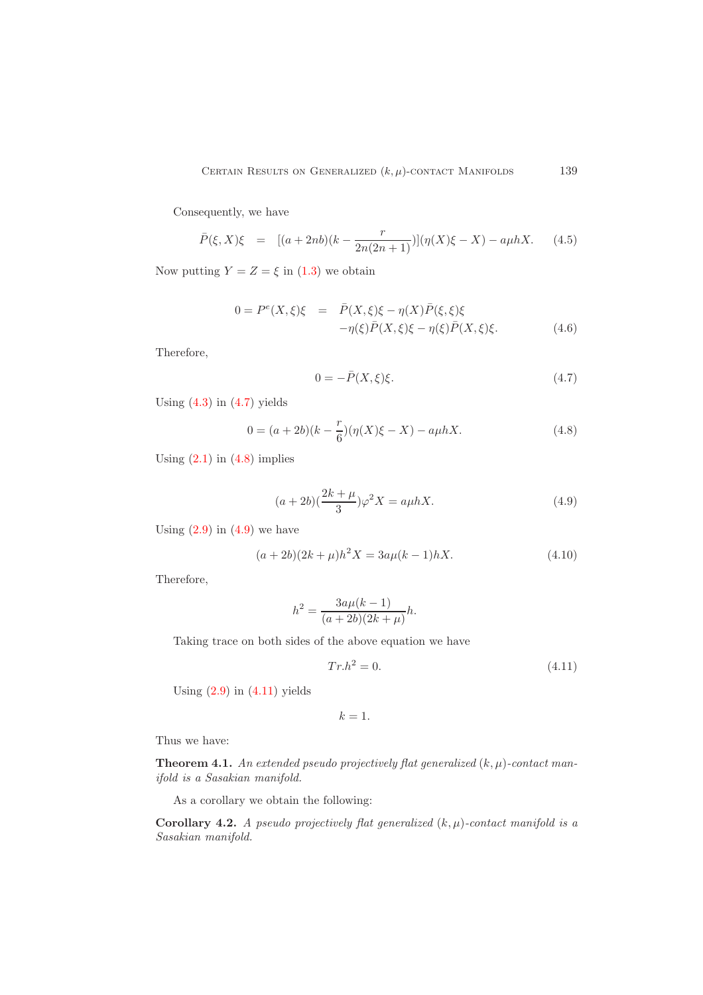Consequently, we have

$$
\bar{P}(\xi, X)\xi = [(a+2nb)(k-\frac{r}{2n(2n+1)})](\eta(X)\xi - X) - a\mu hX. \tag{4.5}
$$

Now putting  $Y = Z = \xi$  in [\(1](#page-1-2).3) we obtain

$$
0 = Pe(X,\xi)\xi = \bar{P}(X,\xi)\xi - \eta(X)\bar{P}(\xi,\xi)\xi
$$
  
 
$$
-\eta(\xi)\bar{P}(X,\xi)\xi - \eta(\xi)\bar{P}(X,\xi)\xi.
$$
 (4.6)

Therefore,

<span id="page-8-0"></span>
$$
0 = -\bar{P}(X,\xi)\xi.
$$
\n
$$
(4.7)
$$

Using  $(4.3)$  in  $(4.7)$  $(4.7)$  yields

<span id="page-8-1"></span>
$$
0 = (a+2b)(k - \frac{r}{6})(\eta(X)\xi - X) - a\mu hX.
$$
 (4.8)

Using  $(2.1)$  in  $(4.8)$  $(4.8)$  implies

<span id="page-8-2"></span>
$$
(a+2b)(\frac{2k+\mu}{3})\varphi^2 X = a\mu hX.
$$
\n(4.9)

Using  $(2.9)$  $(2.9)$  in  $(4.9)$  we have

$$
(a+2b)(2k+\mu)h^2X = 3a\mu(k-1)hX.
$$
\n(4.10)

Therefore,

$$
h^{2} = \frac{3a\mu(k-1)}{(a+2b)(2k+\mu)}h.
$$

Taking trace on both sides of the above equation we have

<span id="page-8-3"></span>
$$
Tr.h^2 = 0.\t\t(4.11)
$$

Using  $(2.9)$  in  $(4.11)$  $(4.11)$  yields

 $k=1$ .

Thus we have:

**Theorem 4.1.** An extended pseudo projectively flat generalized  $(k, \mu)$ -contact man*ifold is a Sasakian manifold.*

As a corollary we obtain the following:

Corollary 4.2. *A pseudo projectively flat generalized*  $(k, \mu)$ -contact manifold is a *Sasakian manifold.*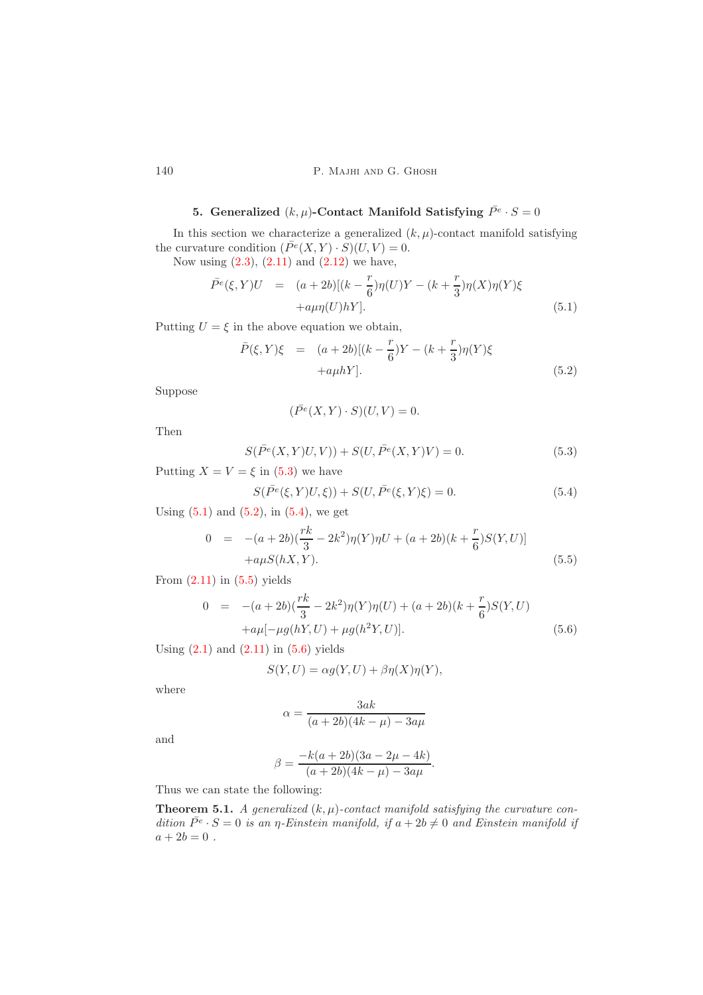# 5. Generalized  $(k,\mu)$ -Contact Manifold Satisfying  $\bar{P}^e \cdot S = 0$

<span id="page-9-0"></span>In this section we characterize a generalized  $(k, \mu)$ -contact manifold satisfying the curvature condition  $(\bar{P}^e(X, Y) \cdot S)(U, V) = 0.$ 

Now using  $(2.3)$  $(2.3)$ ,  $(2.11)$  $(2.11)$  and  $(2.12)$  $(2.12)$  we have,

<span id="page-9-2"></span>
$$
\bar{P}^{e}(\xi, Y)U = (a+2b)[(k-\frac{r}{6})\eta(U)Y - (k+\frac{r}{3})\eta(X)\eta(Y)\xi \n+ a\mu\eta(U)hY].
$$
\n(5.1)

Putting  $U = \xi$  in the above equation we obtain,

<span id="page-9-3"></span>
$$
\bar{P}(\xi, Y)\xi = (a+2b)[(k-\frac{r}{6})Y - (k+\frac{r}{3})\eta(Y)\xi \n+a\mu hY].
$$
\n(5.2)

Suppose

$$
(\bar{P}^e(X, Y) \cdot S)(U, V) = 0.
$$

Then

<span id="page-9-1"></span>
$$
S(\bar{P}^e(X,Y)U,V) + S(U,\bar{P}^e(X,Y)V) = 0.
$$
\n(5.3)

Putting  $X = V = \xi$  in [\(5](#page-9-1).3) we have

<span id="page-9-4"></span>
$$
S(\bar{P}^e(\xi, Y)U, \xi)) + S(U, \bar{P}^e(\xi, Y)\xi) = 0.
$$
\n(5.4)

Using  $(5.1)$  and  $(5.2)$  $(5.2)$ , in  $(5.4)$  $(5.4)$ , we get

<span id="page-9-5"></span>
$$
0 = -(a+2b)(\frac{rk}{3} - 2k^2)\eta(Y)\eta U + (a+2b)(k+\frac{r}{6})S(Y,U)]
$$
  
+a $\mu S(hX,Y).$  (5.5)

From  $(2.11)$  $(2.11)$  in  $(5.5)$  $(5.5)$  yields

<span id="page-9-6"></span>
$$
0 = -(a+2b)(\frac{rk}{3} - 2k^2)\eta(Y)\eta(U) + (a+2b)(k+\frac{r}{6})S(Y,U)
$$
  
 
$$
+a\mu[-\mu g(hY,U) + \mu g(h^2Y,U)].
$$
 (5.6)

.

Using  $(2.1)$  and  $(2.11)$  $(2.11)$  in  $(5.6)$  $(5.6)$  yields

$$
S(Y, U) = \alpha g(Y, U) + \beta \eta(X)\eta(Y),
$$

where

$$
\alpha = \frac{3ak}{(a+2b)(4k-\mu) - 3a\mu}
$$

and

$$
\beta = \frac{-k(a+2b)(3a-2\mu-4k)}{(a+2b)(4k-\mu)-3a\mu}
$$

Thus we can state the following:

**Theorem 5.1.** *A generalized*  $(k, \mu)$ -contact manifold satisfying the curvature condition  $\bar{P}^e \cdot S = 0$  is an  $\eta$ -Einstein manifold, if  $a + 2b \neq 0$  and Einstein manifold if  $a + 2b = 0$ .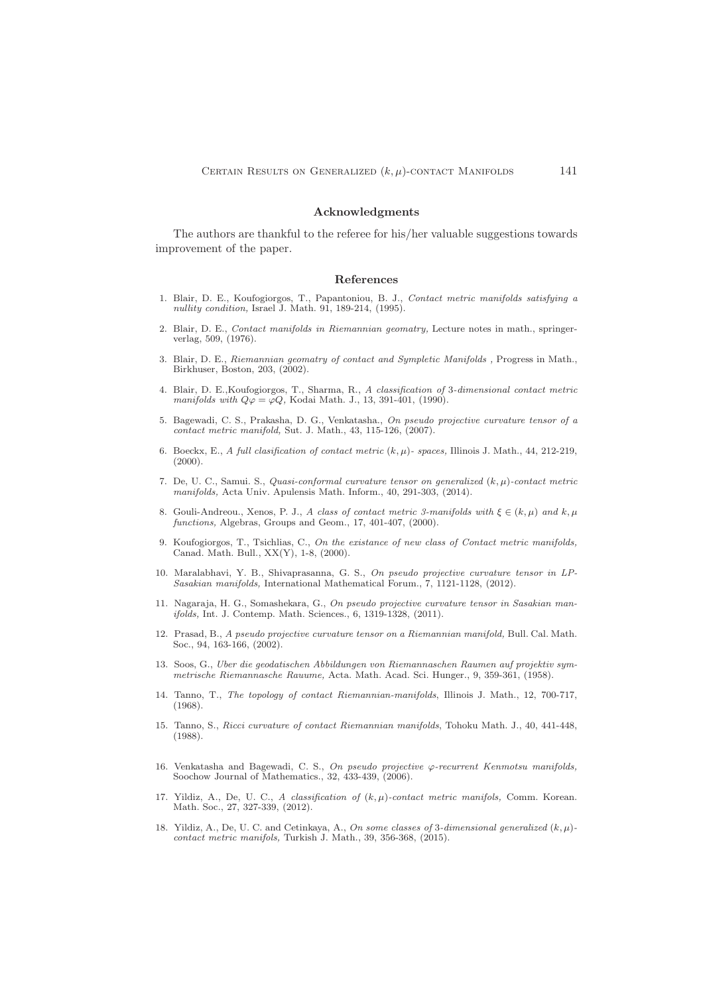#### Acknowledgments

The authors are thankful to the referee for his/her valuable suggestions towards improvement of the paper.

#### <span id="page-10-0"></span>References

- <span id="page-10-1"></span>1. Blair, D. E., Koufogiorgos, T., Papantoniou, B. J., *Contact metric manifolds satisfying a nullity condition,* Israel J. Math. 91, 189-214, (1995).
- <span id="page-10-11"></span>2. Blair, D. E., *Contact manifolds in Riemannian geomatry,* Lecture notes in math., springerverlag, 509, (1976).
- <span id="page-10-12"></span>3. Blair, D. E., *Riemannian geomatry of contact and Sympletic Manifolds ,* Progress in Math., Birkhuser, Boston, 203, (2002).
- <span id="page-10-17"></span>4. Blair, D. E.,Koufogiorgos, T., Sharma, R., *A classification of* 3*-dimensional contact metric manifolds with*  $Q\varphi = \varphi Q$ , Kodai Math. J., 13, 391-401, (1990).
- <span id="page-10-8"></span>5. Bagewadi, C. S., Prakasha, D. G., Venkatasha., *On pseudo projective curvature tensor of a contact metric manifold,* Sut. J. Math., 43, 115-126, (2007).
- <span id="page-10-2"></span>6. Boeckx, E., *A full clasification of contact metric*  $(k, \mu)$ - spaces, Illinois J. Math., 44, 212-219,  $(2000).$
- <span id="page-10-16"></span>7. De, U. C., Samui. S., *Quasi-conformal curvature tensor on generalized* (k, µ)*-contact metric manifolds,* Acta Univ. Apulensis Math. Inform., 40, 291-303, (2014).
- <span id="page-10-14"></span>8. Gouli-Andreou., Xenos, P. J., *A class of contact metric 3-manifolds with*  $\xi \in (k, \mu)$  *and*  $k, \mu$ *functions,* Algebras, Groups and Geom., 17, 401-407, (2000).
- <span id="page-10-4"></span>9. Koufogiorgos, T., Tsichlias, C., *On the existance of new class of Contact metric manifolds,* Canad. Math. Bull., XX(Y), 1-8, (2000).
- <span id="page-10-9"></span>10. Maralabhavi, Y. B., Shivaprasanna, G. S., *On pseudo projective curvature tensor in LP-Sasakian manifolds,* International Mathematical Forum., 7, 1121-1128, (2012).
- <span id="page-10-10"></span>11. Nagaraja, H. G., Somashekara, G., *On pseudo projective curvature tensor in Sasakian manifolds,* Int. J. Contemp. Math. Sciences., 6, 1319-1328, (2011).
- <span id="page-10-6"></span>12. Prasad, B., *A pseudo projective curvature tensor on a Riemannian manifold,* Bull. Cal. Math. Soc., 94, 163-166, (2002).
- <span id="page-10-5"></span>13. Soos, G., *Uber die geodatischen Abbildungen von Riemannaschen Raumen auf projektiv symmetrische Riemannasche Rauume,* Acta. Math. Acad. Sci. Hunger., 9, 359-361, (1958).
- <span id="page-10-3"></span>14. Tanno, T., *The topology of contact Riemannian-manifolds*, Illinois J. Math., 12, 700-717, (1968).
- <span id="page-10-13"></span>15. Tanno, S., *Ricci curvature of contact Riemannian manifolds*, Tohoku Math. J., 40, 441-448, (1988).
- <span id="page-10-7"></span>16. Venkatasha and Bagewadi, C. S., *On pseudo projective* ϕ*-recurrent Kenmotsu manifolds,* Soochow Journal of Mathematics., 32, 433-439, (2006).
- <span id="page-10-18"></span>17. Yildiz, A., De, U. C., *A classification of* (k, µ)*-contact metric manifols,* Comm. Korean. Math. Soc., 27, 327-339, (2012).
- <span id="page-10-15"></span>18. Yildiz, A., De, U. C. and Cetinkaya, A., *On some classes of* 3*-dimensional generalized* (k, µ) *contact metric manifols,* Turkish J. Math., 39, 356-368, (2015).